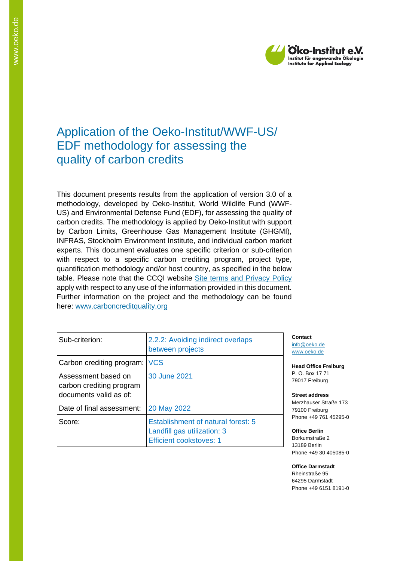

## Application of the Oeko-Institut/WWF-US/ EDF methodology for assessing the quality of carbon credits

This document presents results from the application of version 3.0 of a methodology, developed by Oeko-Institut, World Wildlife Fund (WWF-US) and Environmental Defense Fund (EDF), for assessing the quality of carbon credits. The methodology is applied by Oeko-Institut with support by Carbon Limits, Greenhouse Gas Management Institute (GHGMI), INFRAS, Stockholm Environment Institute, and individual carbon market experts. This document evaluates one specific criterion or sub-criterion with respect to a specific carbon crediting program, project type, quantification methodology and/or host country, as specified in the below table. Please note that the CCQI website [Site terms and Privacy Policy](https://carboncreditquality.org/terms.html) apply with respect to any use of the information provided in this document. Further information on the project and the methodology can be found here: [www.carboncreditquality.org](http://www.carboncreditquality.org/)

| Sub-criterion:                                                            | 2.2.2: Avoiding indirect overlaps<br>between projects                                               |
|---------------------------------------------------------------------------|-----------------------------------------------------------------------------------------------------|
| Carbon crediting program:                                                 | <b>VCS</b>                                                                                          |
| Assessment based on<br>carbon crediting program<br>documents valid as of: | 30 June 2021                                                                                        |
| Date of final assessment:                                                 | 20 May 2022                                                                                         |
| Score:                                                                    | Establishment of natural forest: 5<br>Landfill gas utilization: 3<br><b>Efficient cookstoves: 1</b> |

**Contact** [info@oeko.de](mailto:info@oeko.de) [www.oeko.de](http://www.oeko.de/)

**Head Office Freiburg** P. O. Box 17 71 79017 Freiburg

**Street address** Merzhauser Straße 173 79100 Freiburg Phone +49 761 45295-0

**Office Berlin** Borkumstraße 2 13189 Berlin Phone +49 30 405085-0

**Office Darmstadt** Rheinstraße 95 64295 Darmstadt Phone +49 6151 8191-0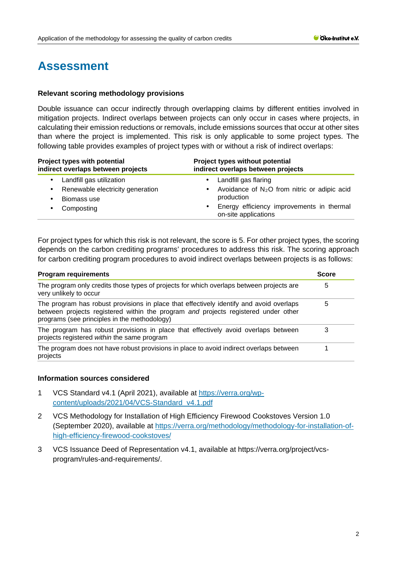# **Assessment**

## **Relevant scoring methodology provisions**

Double issuance can occur indirectly through overlapping claims by different entities involved in mitigation projects. Indirect overlaps between projects can only occur in cases where projects, in calculating their emission reductions or removals, include emissions sources that occur at other sites than where the project is implemented. This risk is only applicable to some project types. The following table provides examples of project types with or without a risk of indirect overlaps:

| Project types with potential<br>indirect overlaps between projects | Project types without potential<br>indirect overlaps between projects          |  |
|--------------------------------------------------------------------|--------------------------------------------------------------------------------|--|
| Landfill gas utilization                                           | Landfill gas flaring<br>٠                                                      |  |
| Renewable electricity generation                                   | Avoidance of $N_2O$ from nitric or adipic acid                                 |  |
| Biomass use                                                        | production                                                                     |  |
| Composting                                                         | Energy efficiency improvements in thermal<br>$\bullet$<br>on-site applications |  |

For project types for which this risk is not relevant, the score is 5. For other project types, the scoring depends on the carbon crediting programs' procedures to address this risk. The scoring approach for carbon crediting program procedures to avoid indirect overlaps between projects is as follows:

| <b>Program requirements</b><br>The program only credits those types of projects for which overlaps between projects are<br>very unlikely to occur |  |
|---------------------------------------------------------------------------------------------------------------------------------------------------|--|
|                                                                                                                                                   |  |
| The program has robust provisions in place that effectively avoid overlaps between<br>projects registered within the same program                 |  |
| The program does not have robust provisions in place to avoid indirect overlaps between<br>projects                                               |  |

## **Information sources considered**

- 1 VCS Standard v4.1 (April 2021), available at [https://verra.org/wp](https://verra.org/wp-content/uploads/2021/04/VCS-Standard_v4.1.pdf)[content/uploads/2021/04/VCS-Standard\\_v4.1.pdf](https://verra.org/wp-content/uploads/2021/04/VCS-Standard_v4.1.pdf)
- 2 VCS Methodology for Installation of High Efficiency Firewood Cookstoves Version 1.0 (September 2020), available at [https://verra.org/methodology/methodology-for-installation-of](https://verra.org/methodology/methodology-for-installation-of-high-efficiency-firewood-cookstoves/)[high-efficiency-firewood-cookstoves/](https://verra.org/methodology/methodology-for-installation-of-high-efficiency-firewood-cookstoves/)
- 3 VCS Issuance Deed of Representation v4.1, available at https://verra.org/project/vcsprogram/rules-and-requirements/.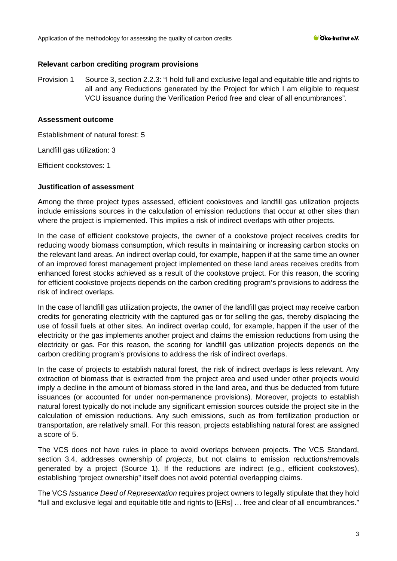### **Relevant carbon crediting program provisions**

Provision 1 Source 3, section 2.2.3: "I hold full and exclusive legal and equitable title and rights to all and any Reductions generated by the Project for which I am eligible to request VCU issuance during the Verification Period free and clear of all encumbrances".

## **Assessment outcome**

Establishment of natural forest: 5

Landfill gas utilization: 3

Efficient cookstoves: 1

### **Justification of assessment**

Among the three project types assessed, efficient cookstoves and landfill gas utilization projects include emissions sources in the calculation of emission reductions that occur at other sites than where the project is implemented. This implies a risk of indirect overlaps with other projects.

In the case of efficient cookstove projects, the owner of a cookstove project receives credits for reducing woody biomass consumption, which results in maintaining or increasing carbon stocks on the relevant land areas. An indirect overlap could, for example, happen if at the same time an owner of an improved forest management project implemented on these land areas receives credits from enhanced forest stocks achieved as a result of the cookstove project. For this reason, the scoring for efficient cookstove projects depends on the carbon crediting program's provisions to address the risk of indirect overlaps.

In the case of landfill gas utilization projects, the owner of the landfill gas project may receive carbon credits for generating electricity with the captured gas or for selling the gas, thereby displacing the use of fossil fuels at other sites. An indirect overlap could, for example, happen if the user of the electricity or the gas implements another project and claims the emission reductions from using the electricity or gas. For this reason, the scoring for landfill gas utilization projects depends on the carbon crediting program's provisions to address the risk of indirect overlaps.

In the case of projects to establish natural forest, the risk of indirect overlaps is less relevant. Any extraction of biomass that is extracted from the project area and used under other projects would imply a decline in the amount of biomass stored in the land area, and thus be deducted from future issuances (or accounted for under non-permanence provisions). Moreover, projects to establish natural forest typically do not include any significant emission sources outside the project site in the calculation of emission reductions. Any such emissions, such as from fertilization production or transportation, are relatively small. For this reason, projects establishing natural forest are assigned a score of 5.

The VCS does not have rules in place to avoid overlaps between projects. The VCS Standard, section 3.4, addresses ownership of *projects*, but not claims to emission reductions/removals generated by a project (Source 1). If the reductions are indirect (e.g., efficient cookstoves), establishing "project ownership" itself does not avoid potential overlapping claims.

The VCS *Issuance Deed of Representation* requires project owners to legally stipulate that they hold "full and exclusive legal and equitable title and rights to [ERs] … free and clear of all encumbrances."